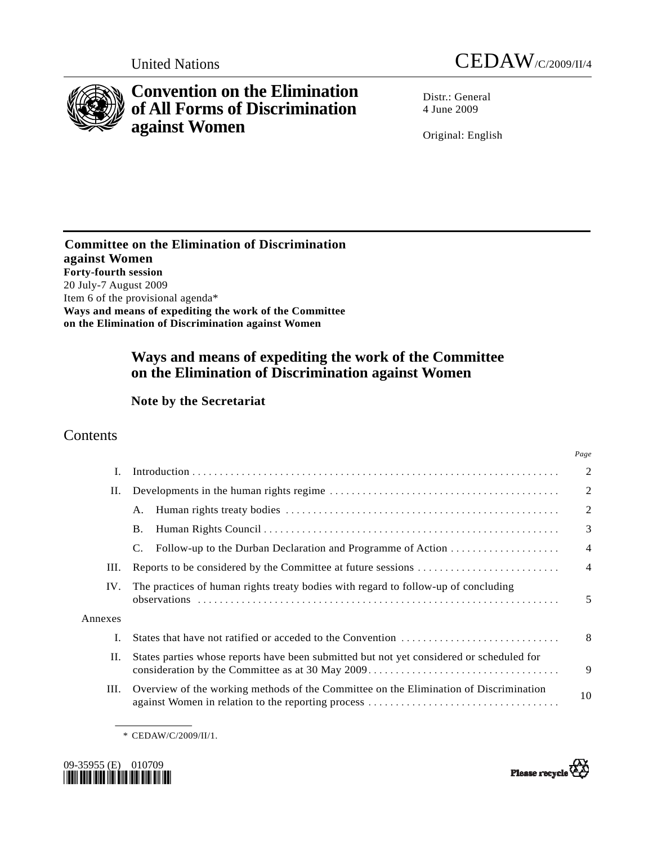



# **Convention on the Elimination of All Forms of Discrimination against Women**

Distr.: General 4 June 2009

Original: English

**Committee on the Elimination of Discrimination against Women Forty-fourth session**  20 July-7 August 2009 Item 6 of the provisional agenda\* **Ways and means of expediting the work of the Committee on the Elimination of Discrimination against Women** 

# **Ways and means of expediting the work of the Committee on the Elimination of Discrimination against Women**

 **Note by the Secretariat** 

## **Contents**

| I.<br>П.<br>А.<br>Β.<br>C.<br>Ш.<br>The practices of human rights treaty bodies with regard to follow-up of concluding<br>IV.<br>observations<br>Annexes<br>I.<br>States parties whose reports have been submitted but not yet considered or scheduled for<br>П. | Page           |
|------------------------------------------------------------------------------------------------------------------------------------------------------------------------------------------------------------------------------------------------------------------|----------------|
|                                                                                                                                                                                                                                                                  | $\overline{2}$ |
|                                                                                                                                                                                                                                                                  | $\overline{2}$ |
|                                                                                                                                                                                                                                                                  | $\overline{2}$ |
|                                                                                                                                                                                                                                                                  | 3              |
|                                                                                                                                                                                                                                                                  | $\overline{4}$ |
|                                                                                                                                                                                                                                                                  | $\overline{4}$ |
|                                                                                                                                                                                                                                                                  | 5              |
|                                                                                                                                                                                                                                                                  |                |
|                                                                                                                                                                                                                                                                  | 8              |
|                                                                                                                                                                                                                                                                  | 9              |
| Overview of the working methods of the Committee on the Elimination of Discrimination<br>III.                                                                                                                                                                    | 10             |

\* CEDAW/C/2009/II/1.



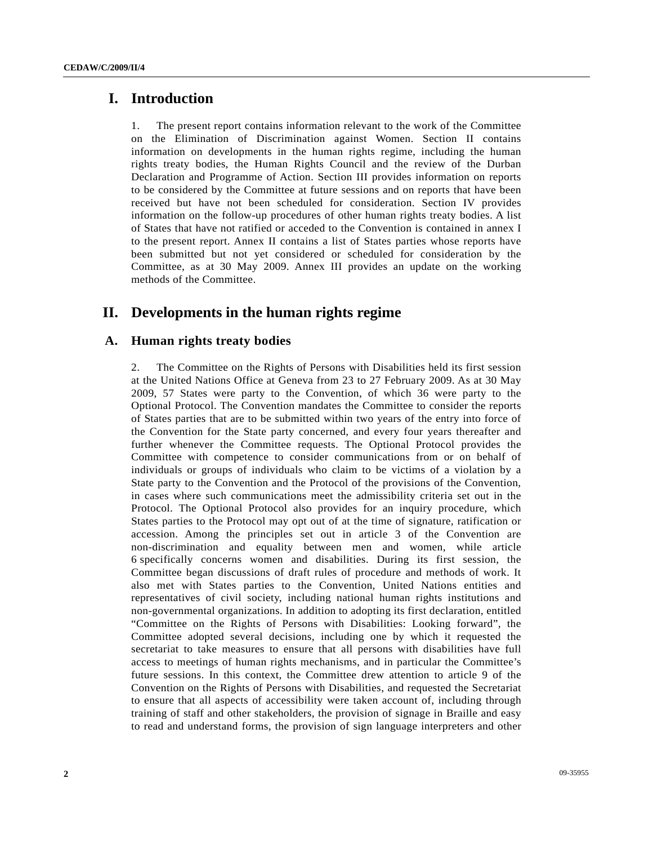## **I. Introduction**

1. The present report contains information relevant to the work of the Committee on the Elimination of Discrimination against Women. Section II contains information on developments in the human rights regime, including the human rights treaty bodies, the Human Rights Council and the review of the Durban Declaration and Programme of Action. Section III provides information on reports to be considered by the Committee at future sessions and on reports that have been received but have not been scheduled for consideration. Section IV provides information on the follow-up procedures of other human rights treaty bodies. A list of States that have not ratified or acceded to the Convention is contained in annex I to the present report. Annex II contains a list of States parties whose reports have been submitted but not yet considered or scheduled for consideration by the Committee, as at 30 May 2009. Annex III provides an update on the working methods of the Committee.

## **II. Developments in the human rights regime**

### **A. Human rights treaty bodies**

2. The Committee on the Rights of Persons with Disabilities held its first session at the United Nations Office at Geneva from 23 to 27 February 2009. As at 30 May 2009, 57 States were party to the Convention, of which 36 were party to the Optional Protocol. The Convention mandates the Committee to consider the reports of States parties that are to be submitted within two years of the entry into force of the Convention for the State party concerned, and every four years thereafter and further whenever the Committee requests. The Optional Protocol provides the Committee with competence to consider communications from or on behalf of individuals or groups of individuals who claim to be victims of a violation by a State party to the Convention and the Protocol of the provisions of the Convention, in cases where such communications meet the admissibility criteria set out in the Protocol. The Optional Protocol also provides for an inquiry procedure, which States parties to the Protocol may opt out of at the time of signature, ratification or accession. Among the principles set out in article 3 of the Convention are non-discrimination and equality between men and women, while article 6 specifically concerns women and disabilities. During its first session, the Committee began discussions of draft rules of procedure and methods of work. It also met with States parties to the Convention, United Nations entities and representatives of civil society, including national human rights institutions and non-governmental organizations. In addition to adopting its first declaration, entitled "Committee on the Rights of Persons with Disabilities: Looking forward", the Committee adopted several decisions, including one by which it requested the secretariat to take measures to ensure that all persons with disabilities have full access to meetings of human rights mechanisms, and in particular the Committee's future sessions. In this context, the Committee drew attention to article 9 of the Convention on the Rights of Persons with Disabilities, and requested the Secretariat to ensure that all aspects of accessibility were taken account of, including through training of staff and other stakeholders, the provision of signage in Braille and easy to read and understand forms, the provision of sign language interpreters and other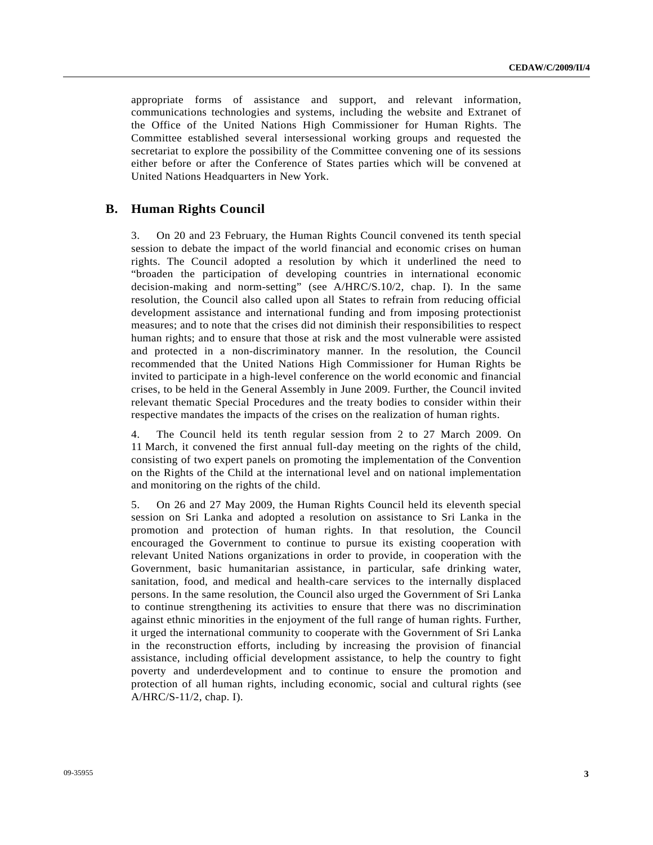appropriate forms of assistance and support, and relevant information, communications technologies and systems, including the website and Extranet of the Office of the United Nations High Commissioner for Human Rights. The Committee established several intersessional working groups and requested the secretariat to explore the possibility of the Committee convening one of its sessions either before or after the Conference of States parties which will be convened at United Nations Headquarters in New York.

#### **B. Human Rights Council**

3. On 20 and 23 February, the Human Rights Council convened its tenth special session to debate the impact of the world financial and economic crises on human rights. The Council adopted a resolution by which it underlined the need to "broaden the participation of developing countries in international economic decision-making and norm-setting" (see A/HRC/S.10/2, chap. I). In the same resolution, the Council also called upon all States to refrain from reducing official development assistance and international funding and from imposing protectionist measures; and to note that the crises did not diminish their responsibilities to respect human rights; and to ensure that those at risk and the most vulnerable were assisted and protected in a non-discriminatory manner. In the resolution, the Council recommended that the United Nations High Commissioner for Human Rights be invited to participate in a high-level conference on the world economic and financial crises, to be held in the General Assembly in June 2009. Further, the Council invited relevant thematic Special Procedures and the treaty bodies to consider within their respective mandates the impacts of the crises on the realization of human rights.

4. The Council held its tenth regular session from 2 to 27 March 2009. On 11 March, it convened the first annual full-day meeting on the rights of the child, consisting of two expert panels on promoting the implementation of the Convention on the Rights of the Child at the international level and on national implementation and monitoring on the rights of the child.

5. On 26 and 27 May 2009, the Human Rights Council held its eleventh special session on Sri Lanka and adopted a resolution on assistance to Sri Lanka in the promotion and protection of human rights. In that resolution, the Council encouraged the Government to continue to pursue its existing cooperation with relevant United Nations organizations in order to provide, in cooperation with the Government, basic humanitarian assistance, in particular, safe drinking water, sanitation, food, and medical and health-care services to the internally displaced persons. In the same resolution, the Council also urged the Government of Sri Lanka to continue strengthening its activities to ensure that there was no discrimination against ethnic minorities in the enjoyment of the full range of human rights. Further, it urged the international community to cooperate with the Government of Sri Lanka in the reconstruction efforts, including by increasing the provision of financial assistance, including official development assistance, to help the country to fight poverty and underdevelopment and to continue to ensure the promotion and protection of all human rights, including economic, social and cultural rights (see A/HRC/S-11/2, chap. I).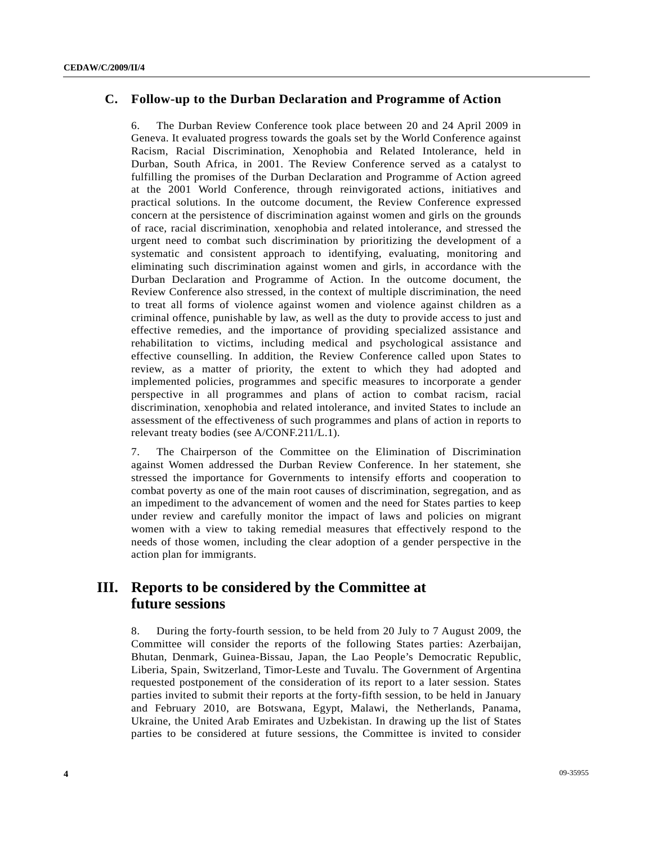#### **C. Follow-up to the Durban Declaration and Programme of Action**

6. The Durban Review Conference took place between 20 and 24 April 2009 in Geneva. It evaluated progress towards the goals set by the World Conference against Racism, Racial Discrimination, Xenophobia and Related Intolerance, held in Durban, South Africa, in 2001. The Review Conference served as a catalyst to fulfilling the promises of the Durban Declaration and Programme of Action agreed at the 2001 World Conference, through reinvigorated actions, initiatives and practical solutions. In the outcome document, the Review Conference expressed concern at the persistence of discrimination against women and girls on the grounds of race, racial discrimination, xenophobia and related intolerance, and stressed the urgent need to combat such discrimination by prioritizing the development of a systematic and consistent approach to identifying, evaluating, monitoring and eliminating such discrimination against women and girls, in accordance with the Durban Declaration and Programme of Action. In the outcome document, the Review Conference also stressed, in the context of multiple discrimination, the need to treat all forms of violence against women and violence against children as a criminal offence, punishable by law, as well as the duty to provide access to just and effective remedies, and the importance of providing specialized assistance and rehabilitation to victims, including medical and psychological assistance and effective counselling. In addition, the Review Conference called upon States to review, as a matter of priority, the extent to which they had adopted and implemented policies, programmes and specific measures to incorporate a gender perspective in all programmes and plans of action to combat racism, racial discrimination, xenophobia and related intolerance, and invited States to include an assessment of the effectiveness of such programmes and plans of action in reports to relevant treaty bodies (see A/CONF.211/L.1).

7. The Chairperson of the Committee on the Elimination of Discrimination against Women addressed the Durban Review Conference. In her statement, she stressed the importance for Governments to intensify efforts and cooperation to combat poverty as one of the main root causes of discrimination, segregation, and as an impediment to the advancement of women and the need for States parties to keep under review and carefully monitor the impact of laws and policies on migrant women with a view to taking remedial measures that effectively respond to the needs of those women, including the clear adoption of a gender perspective in the action plan for immigrants.

## **III. Reports to be considered by the Committee at future sessions**

8. During the forty-fourth session, to be held from 20 July to 7 August 2009, the Committee will consider the reports of the following States parties: Azerbaijan, Bhutan, Denmark, Guinea-Bissau, Japan, the Lao People's Democratic Republic, Liberia, Spain, Switzerland, Timor-Leste and Tuvalu. The Government of Argentina requested postponement of the consideration of its report to a later session. States parties invited to submit their reports at the forty-fifth session, to be held in January and February 2010, are Botswana, Egypt, Malawi, the Netherlands, Panama, Ukraine, the United Arab Emirates and Uzbekistan. In drawing up the list of States parties to be considered at future sessions, the Committee is invited to consider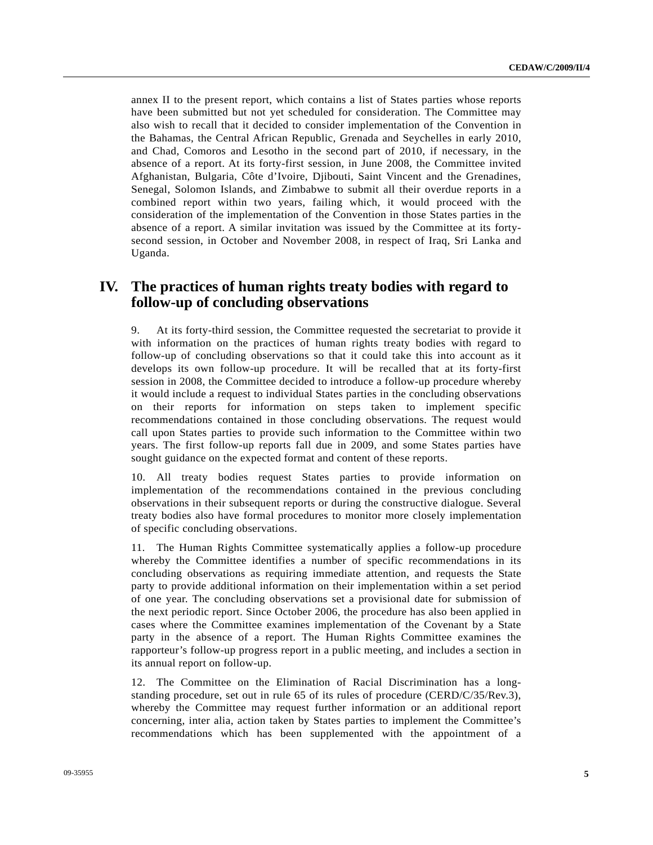annex II to the present report, which contains a list of States parties whose reports have been submitted but not yet scheduled for consideration. The Committee may also wish to recall that it decided to consider implementation of the Convention in the Bahamas, the Central African Republic, Grenada and Seychelles in early 2010, and Chad, Comoros and Lesotho in the second part of 2010, if necessary, in the absence of a report. At its forty-first session, in June 2008, the Committee invited Afghanistan, Bulgaria, Côte d'Ivoire, Djibouti, Saint Vincent and the Grenadines, Senegal, Solomon Islands, and Zimbabwe to submit all their overdue reports in a combined report within two years, failing which, it would proceed with the consideration of the implementation of the Convention in those States parties in the absence of a report. A similar invitation was issued by the Committee at its fortysecond session, in October and November 2008, in respect of Iraq, Sri Lanka and Uganda.

# **IV. The practices of human rights treaty bodies with regard to follow-up of concluding observations**

9. At its forty-third session, the Committee requested the secretariat to provide it with information on the practices of human rights treaty bodies with regard to follow-up of concluding observations so that it could take this into account as it develops its own follow-up procedure. It will be recalled that at its forty-first session in 2008, the Committee decided to introduce a follow-up procedure whereby it would include a request to individual States parties in the concluding observations on their reports for information on steps taken to implement specific recommendations contained in those concluding observations. The request would call upon States parties to provide such information to the Committee within two years. The first follow-up reports fall due in 2009, and some States parties have sought guidance on the expected format and content of these reports.

10. All treaty bodies request States parties to provide information on implementation of the recommendations contained in the previous concluding observations in their subsequent reports or during the constructive dialogue. Several treaty bodies also have formal procedures to monitor more closely implementation of specific concluding observations.

11. The Human Rights Committee systematically applies a follow-up procedure whereby the Committee identifies a number of specific recommendations in its concluding observations as requiring immediate attention, and requests the State party to provide additional information on their implementation within a set period of one year. The concluding observations set a provisional date for submission of the next periodic report. Since October 2006, the procedure has also been applied in cases where the Committee examines implementation of the Covenant by a State party in the absence of a report. The Human Rights Committee examines the rapporteur's follow-up progress report in a public meeting, and includes a section in its annual report on follow-up.

12. The Committee on the Elimination of Racial Discrimination has a longstanding procedure, set out in rule 65 of its rules of procedure (CERD/C/35/Rev.3), whereby the Committee may request further information or an additional report concerning, inter alia, action taken by States parties to implement the Committee's recommendations which has been supplemented with the appointment of a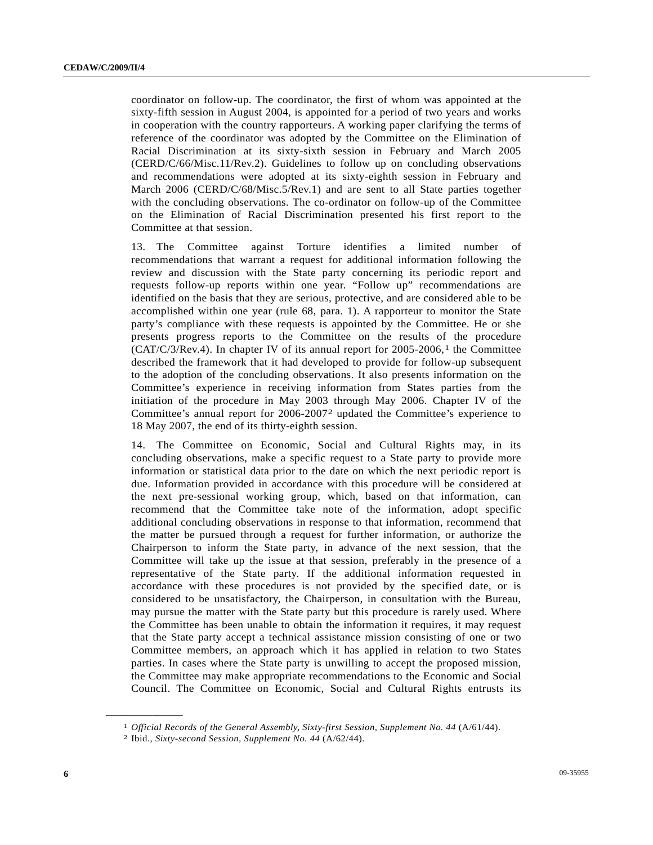coordinator on follow-up. The coordinator, the first of whom was appointed at the sixty-fifth session in August 2004, is appointed for a period of two years and works in cooperation with the country rapporteurs. A working paper clarifying the terms of reference of the coordinator was adopted by the Committee on the Elimination of Racial Discrimination at its sixty-sixth session in February and March 2005 (CERD/C/66/Misc.11/Rev.2). Guidelines to follow up on concluding observations and recommendations were adopted at its sixty-eighth session in February and March 2006 (CERD/C/68/Misc.5/Rev.1) and are sent to all State parties together with the concluding observations. The co-ordinator on follow-up of the Committee on the Elimination of Racial Discrimination presented his first report to the Committee at that session.

13. The Committee against Torture identifies a limited number of recommendations that warrant a request for additional information following the review and discussion with the State party concerning its periodic report and requests follow-up reports within one year. "Follow up" recommendations are identified on the basis that they are serious, protective, and are considered able to be accomplished within one year (rule 68, para. 1). A rapporteur to monitor the State party's compliance with these requests is appointed by the Committee. He or she presents progress reports to the Committee on the results of the procedure  $(CAT/C/3/Rev.4)$ . In chapter IV of its annual report for 2005-2006,<sup>[1](#page-5-0)</sup> the Committee described the framework that it had developed to provide for follow-up subsequent to the adoption of the concluding observations. It also presents information on the Committee's experience in receiving information from States parties from the initiation of the procedure in May 2003 through May 2006. Chapter IV of the Committee's annual report for 2006-2007[2](#page-5-1) updated the Committee's experience to 18 May 2007, the end of its thirty-eighth session.

14. The Committee on Economic, Social and Cultural Rights may, in its concluding observations, make a specific request to a State party to provide more information or statistical data prior to the date on which the next periodic report is due. Information provided in accordance with this procedure will be considered at the next pre-sessional working group, which, based on that information, can recommend that the Committee take note of the information, adopt specific additional concluding observations in response to that information, recommend that the matter be pursued through a request for further information, or authorize the Chairperson to inform the State party, in advance of the next session, that the Committee will take up the issue at that session, preferably in the presence of a representative of the State party. If the additional information requested in accordance with these procedures is not provided by the specified date, or is considered to be unsatisfactory, the Chairperson, in consultation with the Bureau, may pursue the matter with the State party but this procedure is rarely used. Where the Committee has been unable to obtain the information it requires, it may request that the State party accept a technical assistance mission consisting of one or two Committee members, an approach which it has applied in relation to two States parties. In cases where the State party is unwilling to accept the proposed mission, the Committee may make appropriate recommendations to the Economic and Social Council. The Committee on Economic, Social and Cultural Rights entrusts its

<span id="page-5-1"></span><span id="page-5-0"></span><sup>1</sup> *Official Records of the General Assembly, Sixty-first Session, Supplement No. 44* (A/61/44). 2 Ibid., *Sixty-second Session, Supplement No. 44* (A/62/44).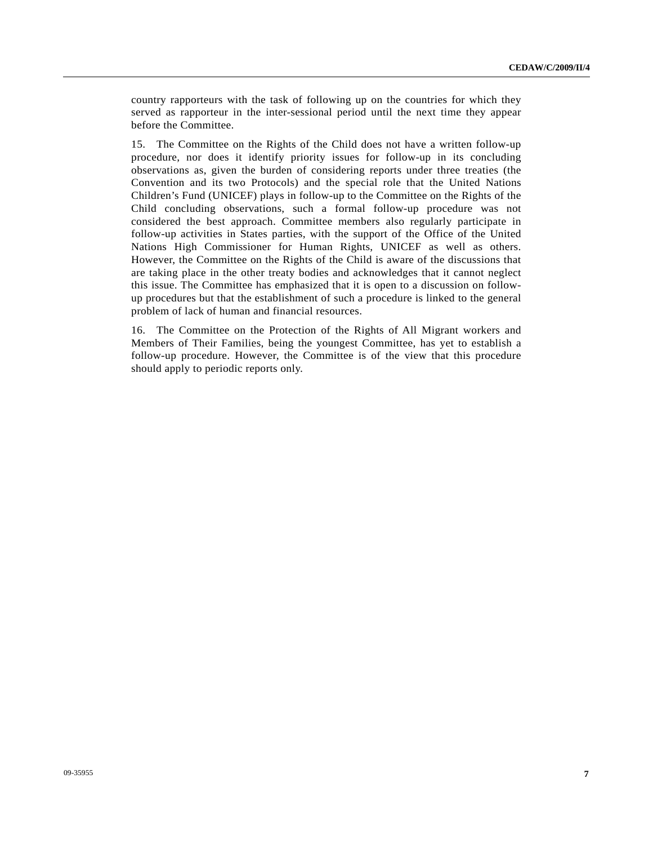country rapporteurs with the task of following up on the countries for which they served as rapporteur in the inter-sessional period until the next time they appear before the Committee.

15. The Committee on the Rights of the Child does not have a written follow-up procedure, nor does it identify priority issues for follow-up in its concluding observations as, given the burden of considering reports under three treaties (the Convention and its two Protocols) and the special role that the United Nations Children's Fund (UNICEF) plays in follow-up to the Committee on the Rights of the Child concluding observations, such a formal follow-up procedure was not considered the best approach. Committee members also regularly participate in follow-up activities in States parties, with the support of the Office of the United Nations High Commissioner for Human Rights, UNICEF as well as others. However, the Committee on the Rights of the Child is aware of the discussions that are taking place in the other treaty bodies and acknowledges that it cannot neglect this issue. The Committee has emphasized that it is open to a discussion on followup procedures but that the establishment of such a procedure is linked to the general problem of lack of human and financial resources.

16. The Committee on the Protection of the Rights of All Migrant workers and Members of Their Families, being the youngest Committee, has yet to establish a follow-up procedure. However, the Committee is of the view that this procedure should apply to periodic reports only.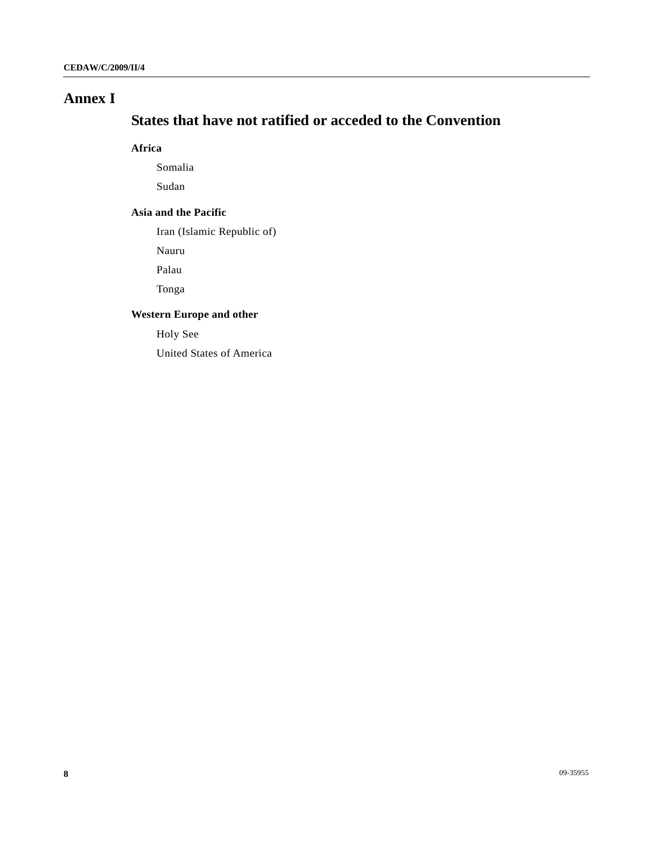# **Annex I**

# **States that have not ratified or acceded to the Convention**

### **Africa**

Somalia

Sudan

#### **Asia and the Pacific**

Iran (Islamic Republic of)

Nauru

Palau

Tonga

#### **Western Europe and other**

Holy See

United States of America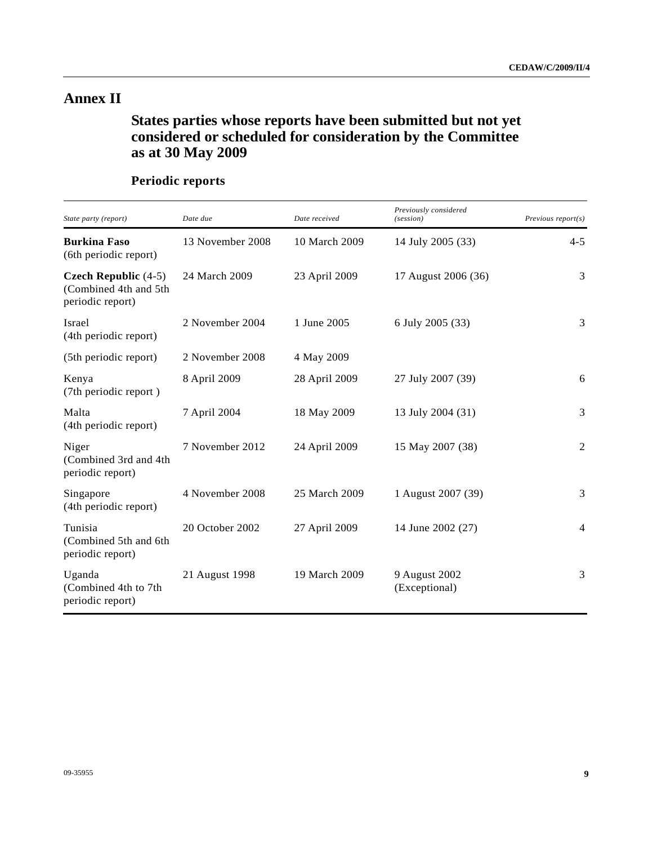# **Annex II**

# **States parties whose reports have been submitted but not yet considered or scheduled for consideration by the Committee as at 30 May 2009**

# **Periodic reports**

| State party (report)                                              | Date due         | Date received | Previously considered<br>(session) | Previous $report(s)$ |
|-------------------------------------------------------------------|------------------|---------------|------------------------------------|----------------------|
| <b>Burkina Faso</b><br>(6th periodic report)                      | 13 November 2008 | 10 March 2009 | 14 July 2005 (33)                  | $4 - 5$              |
| Czech Republic (4-5)<br>(Combined 4th and 5th<br>periodic report) | 24 March 2009    | 23 April 2009 | 17 August 2006 (36)                | 3                    |
| Israel<br>(4th periodic report)                                   | 2 November 2004  | 1 June 2005   | 6 July 2005 (33)                   | 3                    |
| (5th periodic report)                                             | 2 November 2008  | 4 May 2009    |                                    |                      |
| Kenya<br>(7th periodic report)                                    | 8 April 2009     | 28 April 2009 | 27 July 2007 (39)                  | 6                    |
| Malta<br>(4th periodic report)                                    | 7 April 2004     | 18 May 2009   | 13 July 2004 (31)                  | 3                    |
| Niger<br>(Combined 3rd and 4th<br>periodic report)                | 7 November 2012  | 24 April 2009 | 15 May 2007 (38)                   | 2                    |
| Singapore<br>(4th periodic report)                                | 4 November 2008  | 25 March 2009 | 1 August 2007 (39)                 | 3                    |
| Tunisia<br>(Combined 5th and 6th<br>periodic report)              | 20 October 2002  | 27 April 2009 | 14 June 2002 (27)                  | $\overline{4}$       |
| Uganda<br>(Combined 4th to 7th<br>periodic report)                | 21 August 1998   | 19 March 2009 | 9 August 2002<br>(Exceptional)     | 3                    |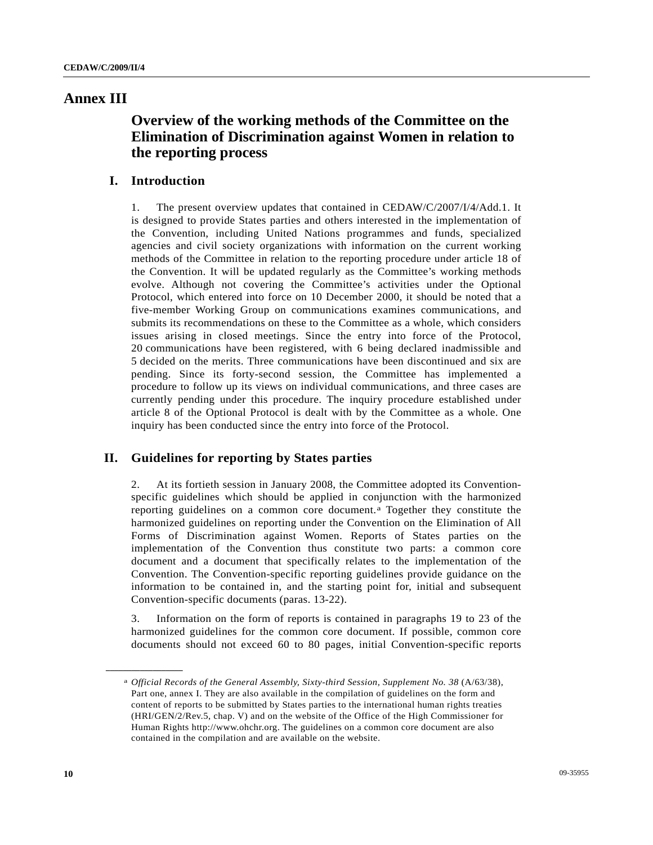## **Annex III**

# **Overview of the working methods of the Committee on the Elimination of Discrimination against Women in relation to the reporting process**

#### **I. Introduction**

1. The present overview updates that contained in CEDAW/C/2007/I/4/Add.1. It is designed to provide States parties and others interested in the implementation of the Convention, including United Nations programmes and funds, specialized agencies and civil society organizations with information on the current working methods of the Committee in relation to the reporting procedure under article 18 of the Convention. It will be updated regularly as the Committee's working methods evolve. Although not covering the Committee's activities under the Optional Protocol, which entered into force on 10 December 2000, it should be noted that a five-member Working Group on communications examines communications, and submits its recommendations on these to the Committee as a whole, which considers issues arising in closed meetings. Since the entry into force of the Protocol, 20 communications have been registered, with 6 being declared inadmissible and 5 decided on the merits. Three communications have been discontinued and six are pending. Since its forty-second session, the Committee has implemented a procedure to follow up its views on individual communications, and three cases are currently pending under this procedure. The inquiry procedure established under article 8 of the Optional Protocol is dealt with by the Committee as a whole. One inquiry has been conducted since the entry into force of the Protocol.

### **II. Guidelines for reporting by States parties**

2. At its fortieth session in January 2008, the Committee adopted its Conventionspecific guidelines which should be applied in conjunction with the harmonized reporting guidelines on a common core document.[a](#page-9-0) Together they constitute the harmonized guidelines on reporting under the Convention on the Elimination of All Forms of Discrimination against Women. Reports of States parties on the implementation of the Convention thus constitute two parts: a common core document and a document that specifically relates to the implementation of the Convention. The Convention-specific reporting guidelines provide guidance on the information to be contained in, and the starting point for, initial and subsequent Convention-specific documents (paras. 13-22).

3. Information on the form of reports is contained in paragraphs 19 to 23 of the harmonized guidelines for the common core document. If possible, common core documents should not exceed 60 to 80 pages, initial Convention-specific reports

<span id="page-9-0"></span>a *Official Records of the General Assembly, Sixty-third Session, Supplement No. 38* (A/63/38), Part one, annex I. They are also available in the compilation of guidelines on the form and content of reports to be submitted by States parties to the international human rights treaties (HRI/GEN/2/Rev.5, chap. V) and on the website of the Office of the High Commissioner for Human Rights http://www.ohchr.org. The guidelines on a common core document are also contained in the compilation and are available on the website.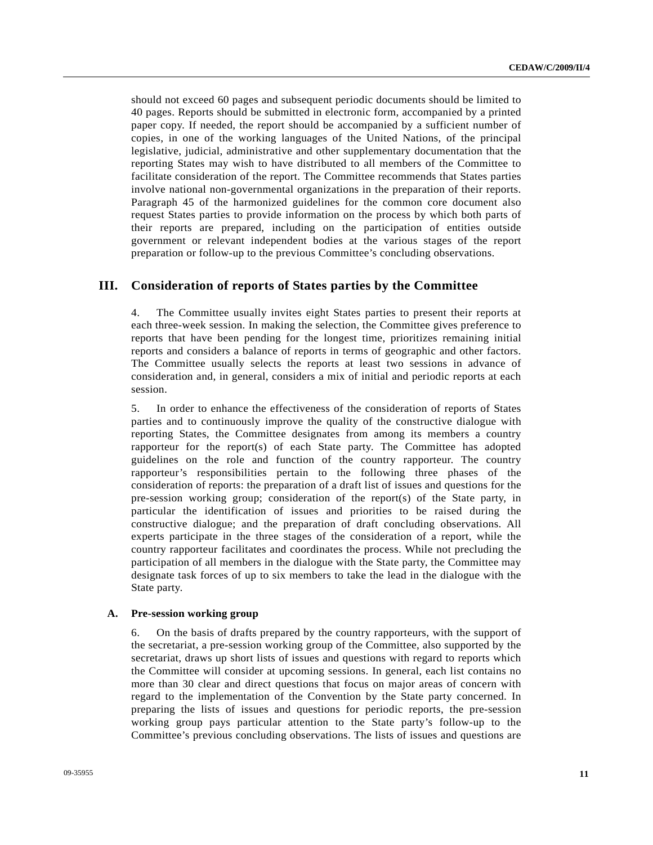should not exceed 60 pages and subsequent periodic documents should be limited to 40 pages. Reports should be submitted in electronic form, accompanied by a printed paper copy. If needed, the report should be accompanied by a sufficient number of copies, in one of the working languages of the United Nations, of the principal legislative, judicial, administrative and other supplementary documentation that the reporting States may wish to have distributed to all members of the Committee to facilitate consideration of the report. The Committee recommends that States parties involve national non-governmental organizations in the preparation of their reports. Paragraph 45 of the harmonized guidelines for the common core document also request States parties to provide information on the process by which both parts of their reports are prepared, including on the participation of entities outside government or relevant independent bodies at the various stages of the report preparation or follow-up to the previous Committee's concluding observations.

#### **III. Consideration of reports of States parties by the Committee**

4. The Committee usually invites eight States parties to present their reports at each three-week session. In making the selection, the Committee gives preference to reports that have been pending for the longest time, prioritizes remaining initial reports and considers a balance of reports in terms of geographic and other factors. The Committee usually selects the reports at least two sessions in advance of consideration and, in general, considers a mix of initial and periodic reports at each session.

5. In order to enhance the effectiveness of the consideration of reports of States parties and to continuously improve the quality of the constructive dialogue with reporting States, the Committee designates from among its members a country rapporteur for the report(s) of each State party. The Committee has adopted guidelines on the role and function of the country rapporteur. The country rapporteur's responsibilities pertain to the following three phases of the consideration of reports: the preparation of a draft list of issues and questions for the pre-session working group; consideration of the report(s) of the State party, in particular the identification of issues and priorities to be raised during the constructive dialogue; and the preparation of draft concluding observations. All experts participate in the three stages of the consideration of a report, while the country rapporteur facilitates and coordinates the process. While not precluding the participation of all members in the dialogue with the State party, the Committee may designate task forces of up to six members to take the lead in the dialogue with the State party.

#### **A. Pre-session working group**

6. On the basis of drafts prepared by the country rapporteurs, with the support of the secretariat, a pre-session working group of the Committee, also supported by the secretariat, draws up short lists of issues and questions with regard to reports which the Committee will consider at upcoming sessions. In general, each list contains no more than 30 clear and direct questions that focus on major areas of concern with regard to the implementation of the Convention by the State party concerned. In preparing the lists of issues and questions for periodic reports, the pre-session working group pays particular attention to the State party's follow-up to the Committee's previous concluding observations. The lists of issues and questions are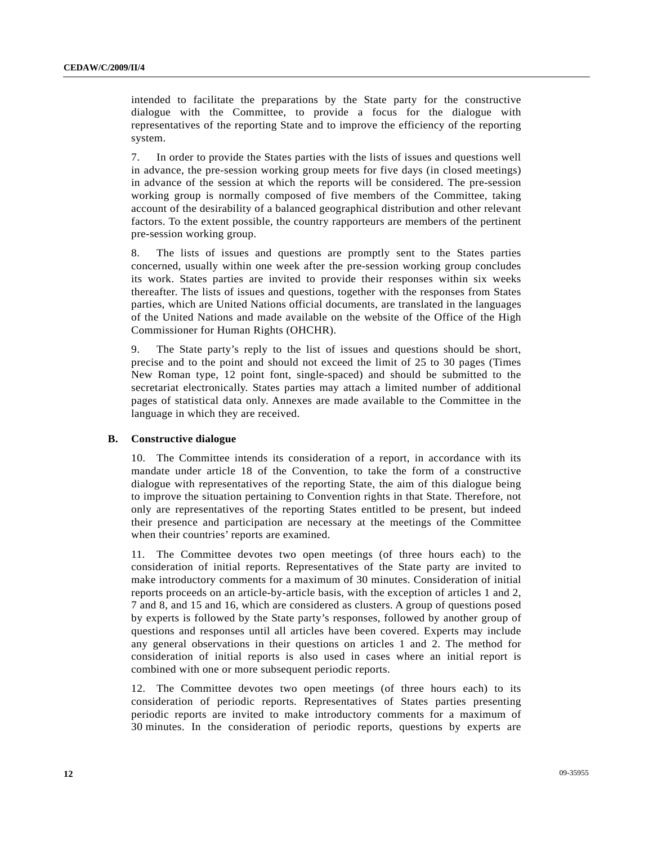intended to facilitate the preparations by the State party for the constructive dialogue with the Committee, to provide a focus for the dialogue with representatives of the reporting State and to improve the efficiency of the reporting system.

7. In order to provide the States parties with the lists of issues and questions well in advance, the pre-session working group meets for five days (in closed meetings) in advance of the session at which the reports will be considered. The pre-session working group is normally composed of five members of the Committee, taking account of the desirability of a balanced geographical distribution and other relevant factors. To the extent possible, the country rapporteurs are members of the pertinent pre-session working group.

8. The lists of issues and questions are promptly sent to the States parties concerned, usually within one week after the pre-session working group concludes its work. States parties are invited to provide their responses within six weeks thereafter. The lists of issues and questions, together with the responses from States parties, which are United Nations official documents, are translated in the languages of the United Nations and made available on the website of the Office of the High Commissioner for Human Rights (OHCHR).

9. The State party's reply to the list of issues and questions should be short, precise and to the point and should not exceed the limit of 25 to 30 pages (Times New Roman type, 12 point font, single-spaced) and should be submitted to the secretariat electronically. States parties may attach a limited number of additional pages of statistical data only. Annexes are made available to the Committee in the language in which they are received.

#### **B. Constructive dialogue**

10. The Committee intends its consideration of a report, in accordance with its mandate under article 18 of the Convention, to take the form of a constructive dialogue with representatives of the reporting State, the aim of this dialogue being to improve the situation pertaining to Convention rights in that State. Therefore, not only are representatives of the reporting States entitled to be present, but indeed their presence and participation are necessary at the meetings of the Committee when their countries' reports are examined.

11. The Committee devotes two open meetings (of three hours each) to the consideration of initial reports. Representatives of the State party are invited to make introductory comments for a maximum of 30 minutes. Consideration of initial reports proceeds on an article-by-article basis, with the exception of articles 1 and 2, 7 and 8, and 15 and 16, which are considered as clusters. A group of questions posed by experts is followed by the State party's responses, followed by another group of questions and responses until all articles have been covered. Experts may include any general observations in their questions on articles 1 and 2. The method for consideration of initial reports is also used in cases where an initial report is combined with one or more subsequent periodic reports.

12. The Committee devotes two open meetings (of three hours each) to its consideration of periodic reports. Representatives of States parties presenting periodic reports are invited to make introductory comments for a maximum of 30 minutes. In the consideration of periodic reports, questions by experts are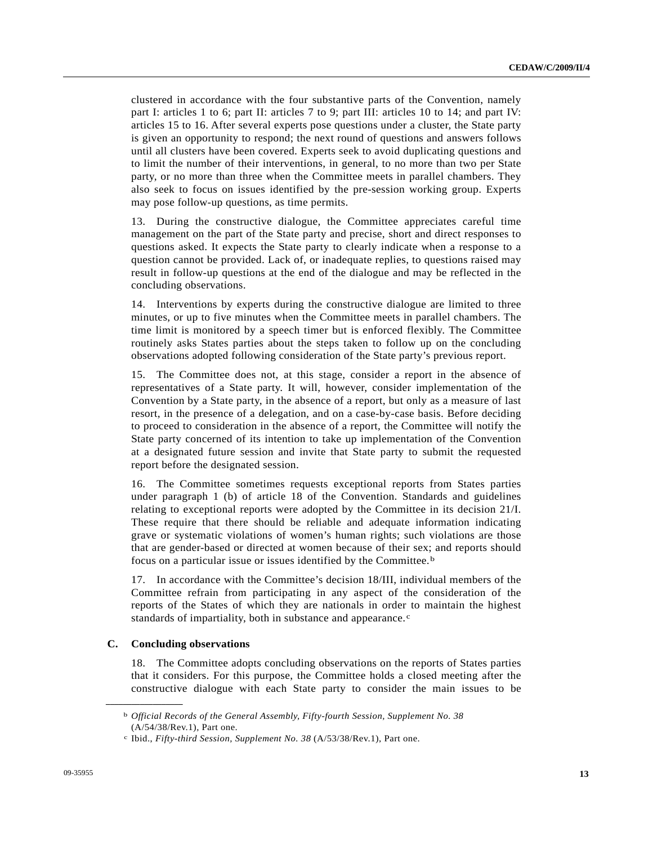clustered in accordance with the four substantive parts of the Convention, namely part I: articles 1 to 6; part II: articles 7 to 9; part III: articles 10 to 14; and part IV: articles 15 to 16. After several experts pose questions under a cluster, the State party is given an opportunity to respond; the next round of questions and answers follows until all clusters have been covered. Experts seek to avoid duplicating questions and to limit the number of their interventions, in general, to no more than two per State party, or no more than three when the Committee meets in parallel chambers. They also seek to focus on issues identified by the pre-session working group. Experts may pose follow-up questions, as time permits.

13. During the constructive dialogue, the Committee appreciates careful time management on the part of the State party and precise, short and direct responses to questions asked. It expects the State party to clearly indicate when a response to a question cannot be provided. Lack of, or inadequate replies, to questions raised may result in follow-up questions at the end of the dialogue and may be reflected in the concluding observations.

14. Interventions by experts during the constructive dialogue are limited to three minutes, or up to five minutes when the Committee meets in parallel chambers. The time limit is monitored by a speech timer but is enforced flexibly. The Committee routinely asks States parties about the steps taken to follow up on the concluding observations adopted following consideration of the State party's previous report.

15. The Committee does not, at this stage, consider a report in the absence of representatives of a State party. It will, however, consider implementation of the Convention by a State party, in the absence of a report, but only as a measure of last resort, in the presence of a delegation, and on a case-by-case basis. Before deciding to proceed to consideration in the absence of a report, the Committee will notify the State party concerned of its intention to take up implementation of the Convention at a designated future session and invite that State party to submit the requested report before the designated session.

16. The Committee sometimes requests exceptional reports from States parties under paragraph 1 (b) of article 18 of the Convention. Standards and guidelines relating to exceptional reports were adopted by the Committee in its decision 21/I. These require that there should be reliable and adequate information indicating grave or systematic violations of women's human rights; such violations are those that are gender-based or directed at women because of their sex; and reports should focus on a particular issue or issues identified [b](#page-12-0)y the Committee.<sup>b</sup>

17. In accordance with the Committee's decision 18/III, individual members of the Committee refrain from participating in any aspect of the consideration of the reports of the States of which they are nationals in order to maintain the highest standards of impartiality, both in substan[c](#page-12-1)e and appearance.<sup>c</sup>

#### **C. Concluding observations**

<span id="page-12-1"></span><span id="page-12-0"></span>**\_\_\_\_\_\_\_\_\_\_\_\_\_\_\_\_\_\_** 

18. The Committee adopts concluding observations on the reports of States parties that it considers. For this purpose, the Committee holds a closed meeting after the constructive dialogue with each State party to consider the main issues to be

b *Official Records of the General Assembly, Fifty-fourth Session, Supplement No. 38* (A/54/38/Rev.1), Part one.

c Ibid., *Fifty-third Session, Supplement No. 38* (A/53/38/Rev.1), Part one.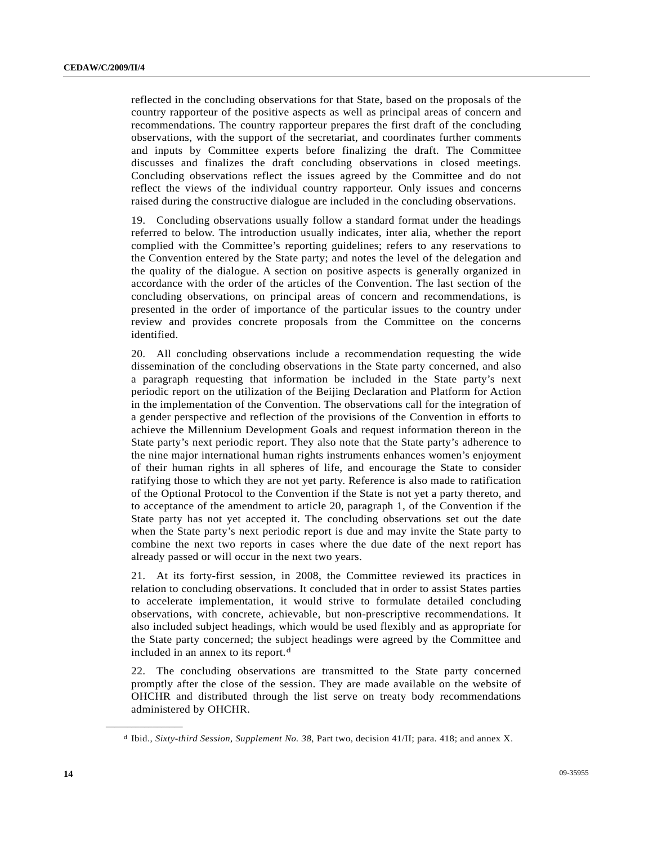reflected in the concluding observations for that State, based on the proposals of the country rapporteur of the positive aspects as well as principal areas of concern and recommendations. The country rapporteur prepares the first draft of the concluding observations, with the support of the secretariat, and coordinates further comments and inputs by Committee experts before finalizing the draft. The Committee discusses and finalizes the draft concluding observations in closed meetings. Concluding observations reflect the issues agreed by the Committee and do not reflect the views of the individual country rapporteur. Only issues and concerns raised during the constructive dialogue are included in the concluding observations.

19. Concluding observations usually follow a standard format under the headings referred to below. The introduction usually indicates, inter alia, whether the report complied with the Committee's reporting guidelines; refers to any reservations to the Convention entered by the State party; and notes the level of the delegation and the quality of the dialogue. A section on positive aspects is generally organized in accordance with the order of the articles of the Convention. The last section of the concluding observations, on principal areas of concern and recommendations, is presented in the order of importance of the particular issues to the country under review and provides concrete proposals from the Committee on the concerns identified.

20. All concluding observations include a recommendation requesting the wide dissemination of the concluding observations in the State party concerned, and also a paragraph requesting that information be included in the State party's next periodic report on the utilization of the Beijing Declaration and Platform for Action in the implementation of the Convention. The observations call for the integration of a gender perspective and reflection of the provisions of the Convention in efforts to achieve the Millennium Development Goals and request information thereon in the State party's next periodic report. They also note that the State party's adherence to the nine major international human rights instruments enhances women's enjoyment of their human rights in all spheres of life, and encourage the State to consider ratifying those to which they are not yet party. Reference is also made to ratification of the Optional Protocol to the Convention if the State is not yet a party thereto, and to acceptance of the amendment to article 20, paragraph 1, of the Convention if the State party has not yet accepted it. The concluding observations set out the date when the State party's next periodic report is due and may invite the State party to combine the next two reports in cases where the due date of the next report has already passed or will occur in the next two years.

21. At its forty-first session, in 2008, the Committee reviewed its practices in relation to concluding observations. It concluded that in order to assist States parties to accelerate implementation, it would strive to formulate detailed concluding observations, with concrete, achievable, but non-prescriptive recommendations. It also included subject headings, which would be used flexibly and as appropriate for the State party concerned; the subject headings were agreed by the Committee and inclu[d](#page-13-0)ed in an annex to its report.<sup>d</sup>

22. The concluding observations are transmitted to the State party concerned promptly after the close of the session. They are made available on the website of OHCHR and distributed through the list serve on treaty body recommendations administered by OHCHR.

<span id="page-13-0"></span>d Ibid., *Sixty-third Session, Supplement No. 38*, Part two, decision 41/II; para. 418; and annex X.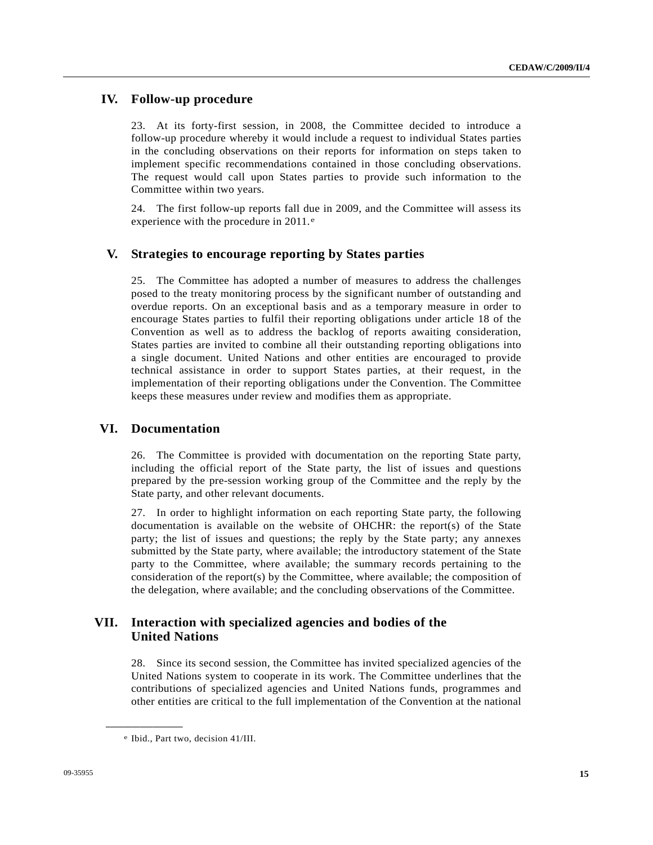### **IV. Follow-up procedure**

23. At its forty-first session, in 2008, the Committee decided to introduce a follow-up procedure whereby it would include a request to individual States parties in the concluding observations on their reports for information on steps taken to implement specific recommendations contained in those concluding observations. The request would call upon States parties to provide such information to the Committee within two years.

24. The first follow-up reports fall due in 2009, and the Committee will assess its [e](#page-14-0)xperience with the procedure in 2011.<sup>e</sup>

#### **V. Strategies to encourage reporting by States parties**

25. The Committee has adopted a number of measures to address the challenges posed to the treaty monitoring process by the significant number of outstanding and overdue reports. On an exceptional basis and as a temporary measure in order to encourage States parties to fulfil their reporting obligations under article 18 of the Convention as well as to address the backlog of reports awaiting consideration, States parties are invited to combine all their outstanding reporting obligations into a single document. United Nations and other entities are encouraged to provide technical assistance in order to support States parties, at their request, in the implementation of their reporting obligations under the Convention. The Committee keeps these measures under review and modifies them as appropriate.

#### **VI. Documentation**

26. The Committee is provided with documentation on the reporting State party, including the official report of the State party, the list of issues and questions prepared by the pre-session working group of the Committee and the reply by the State party, and other relevant documents.

27. In order to highlight information on each reporting State party, the following documentation is available on the website of OHCHR: the report(s) of the State party; the list of issues and questions; the reply by the State party; any annexes submitted by the State party, where available; the introductory statement of the State party to the Committee, where available; the summary records pertaining to the consideration of the report(s) by the Committee, where available; the composition of the delegation, where available; and the concluding observations of the Committee.

### **VII. Interaction with specialized agencies and bodies of the United Nations**

28. Since its second session, the Committee has invited specialized agencies of the United Nations system to cooperate in its work. The Committee underlines that the contributions of specialized agencies and United Nations funds, programmes and other entities are critical to the full implementation of the Convention at the national

<span id="page-14-0"></span>e Ibid., Part two, decision 41/III.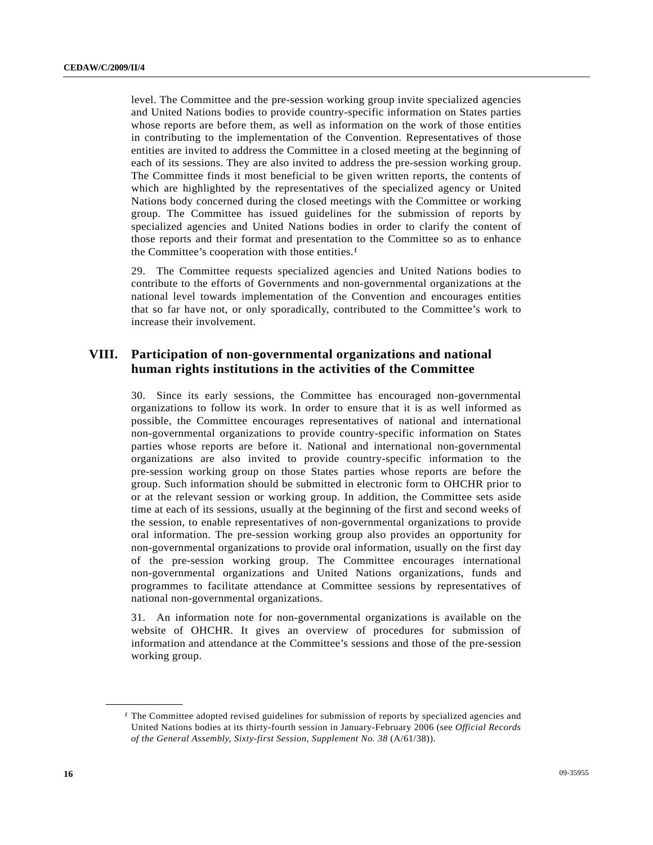level. The Committee and the pre-session working group invite specialized agencies and United Nations bodies to provide country-specific information on States parties whose reports are before them, as well as information on the work of those entities in contributing to the implementation of the Convention. Representatives of those entities are invited to address the Committee in a closed meeting at the beginning of each of its sessions. They are also invited to address the pre-session working group. The Committee finds it most beneficial to be given written reports, the contents of which are highlighted by the representatives of the specialized agency or United Nations body concerned during the closed meetings with the Committee or working group. The Committee has issued guidelines for the submission of reports by specialized agencies and United Nations bodies in order to clarify the content of those reports and their format and presentation to the Committee so as to enhance the Committee's cooperation with those entities.<sup>[f](#page-15-0)</sup>

29. The Committee requests specialized agencies and United Nations bodies to contribute to the efforts of Governments and non-governmental organizations at the national level towards implementation of the Convention and encourages entities that so far have not, or only sporadically, contributed to the Committee's work to increase their involvement.

## **VIII. Participation of non-governmental organizations and national human rights institutions in the activities of the Committee**

30. Since its early sessions, the Committee has encouraged non-governmental organizations to follow its work. In order to ensure that it is as well informed as possible, the Committee encourages representatives of national and international non-governmental organizations to provide country-specific information on States parties whose reports are before it. National and international non-governmental organizations are also invited to provide country-specific information to the pre-session working group on those States parties whose reports are before the group. Such information should be submitted in electronic form to OHCHR prior to or at the relevant session or working group. In addition, the Committee sets aside time at each of its sessions, usually at the beginning of the first and second weeks of the session, to enable representatives of non-governmental organizations to provide oral information. The pre-session working group also provides an opportunity for non-governmental organizations to provide oral information, usually on the first day of the pre-session working group. The Committee encourages international non-governmental organizations and United Nations organizations, funds and programmes to facilitate attendance at Committee sessions by representatives of national non-governmental organizations.

31. An information note for non-governmental organizations is available on the website of OHCHR. It gives an overview of procedures for submission of information and attendance at the Committee's sessions and those of the pre-session working group.

<span id="page-15-0"></span>f The Committee adopted revised guidelines for submission of reports by specialized agencies and United Nations bodies at its thirty-fourth session in January-February 2006 (see *Official Records of the General Assembly, Sixty-first Session, Supplement No. 38* (A/61/38)).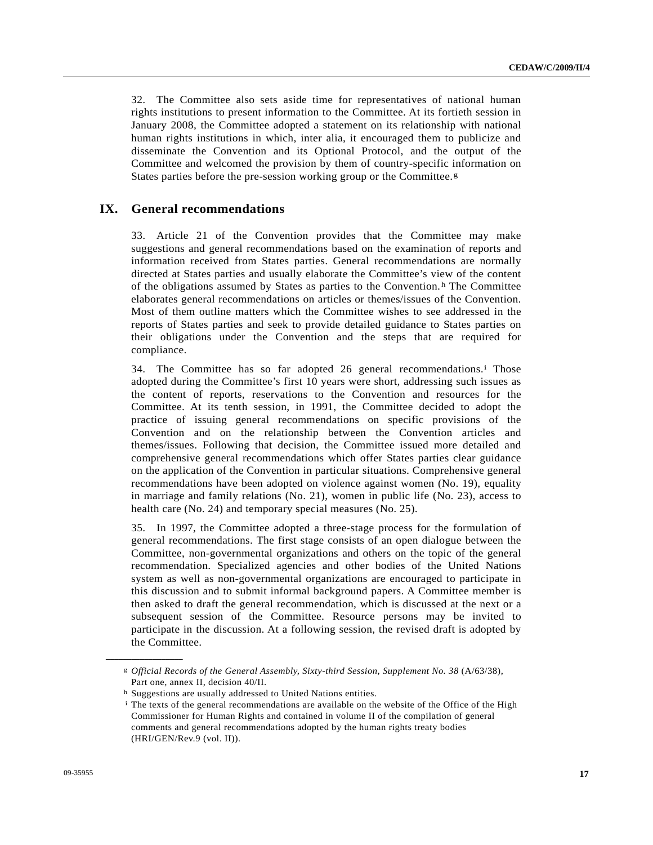32. The Committee also sets aside time for representatives of national human rights institutions to present information to the Committee. At its fortieth session in January 2008, the Committee adopted a statement on its relationship with national human rights institutions in which, inter alia, it encouraged them to publicize and disseminate the Convention and its Optional Protocol, and the output of the Committee and welcomed the provision by them of country-specific information on States parties before the pre-session workin[g](#page-16-0) group or the Committee.<sup>g</sup>

#### **IX. General recommendations**

33. Article 21 of the Convention provides that the Committee may make suggestions and general recommendations based on the examination of reports and information received from States parties. General recommendations are normally directed at States parties and usually elaborate the Committee's view of the content of the obligations assumed by States as parties to the Convention.<sup>h</sup> The Committee elaborates general recommendations on articles or themes/issues of the Convention. Most of them outline matters which the Committee wishes to see addressed in the reports of States parties and seek to provide detailed guidance to States parties on their obligations under the Convention and the steps that are required for compliance.

34. The Comm[i](#page-16-2)ttee has so far adopted 26 general recommendations.<sup>i</sup> Those adopted during the Committee's first 10 years were short, addressing such issues as the content of reports, reservations to the Convention and resources for the Committee. At its tenth session, in 1991, the Committee decided to adopt the practice of issuing general recommendations on specific provisions of the Convention and on the relationship between the Convention articles and themes/issues. Following that decision, the Committee issued more detailed and comprehensive general recommendations which offer States parties clear guidance on the application of the Convention in particular situations. Comprehensive general recommendations have been adopted on violence against women (No. 19), equality in marriage and family relations (No. 21), women in public life (No. 23), access to health care (No. 24) and temporary special measures (No. 25).

35. In 1997, the Committee adopted a three-stage process for the formulation of general recommendations. The first stage consists of an open dialogue between the Committee, non-governmental organizations and others on the topic of the general recommendation. Specialized agencies and other bodies of the United Nations system as well as non-governmental organizations are encouraged to participate in this discussion and to submit informal background papers. A Committee member is then asked to draft the general recommendation, which is discussed at the next or a subsequent session of the Committee. Resource persons may be invited to participate in the discussion. At a following session, the revised draft is adopted by the Committee.

<span id="page-16-0"></span>g *Official Records of the General Assembly, Sixty-third Session, Supplement No. 38* (A/63/38), Part one, annex II, decision 40/II.

<span id="page-16-1"></span>h Suggestions are usually addressed to United Nations entities.

<span id="page-16-2"></span><sup>&</sup>lt;sup>i</sup> The texts of the general recommendations are available on the website of the Office of the High Commissioner for Human Rights and contained in volume II of the compilation of general comments and general recommendations adopted by the human rights treaty bodies (HRI/GEN/Rev.9 (vol. II)).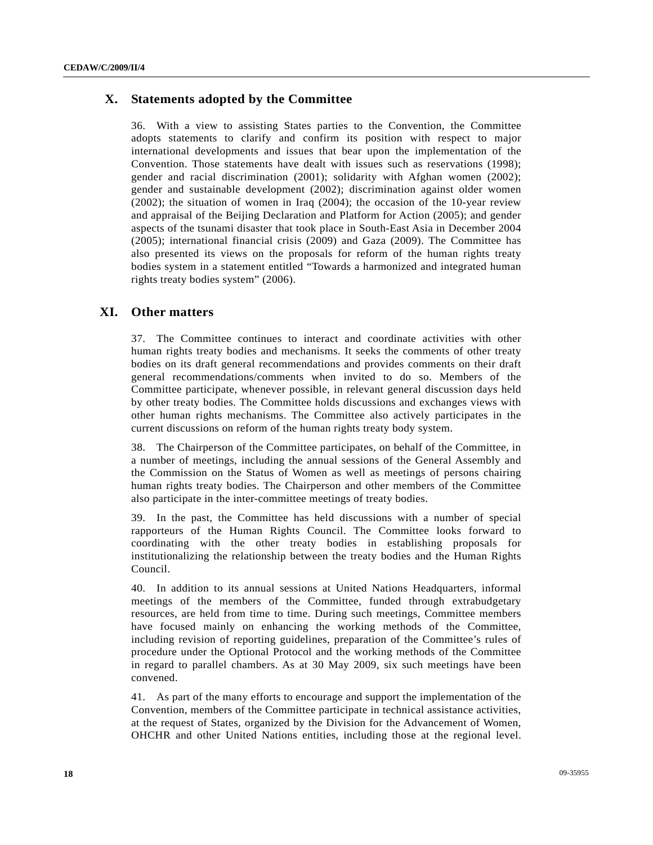#### **X. Statements adopted by the Committee**

36. With a view to assisting States parties to the Convention, the Committee adopts statements to clarify and confirm its position with respect to major international developments and issues that bear upon the implementation of the Convention. Those statements have dealt with issues such as reservations (1998); gender and racial discrimination (2001); solidarity with Afghan women (2002); gender and sustainable development (2002); discrimination against older women (2002); the situation of women in Iraq (2004); the occasion of the 10-year review and appraisal of the Beijing Declaration and Platform for Action (2005); and gender aspects of the tsunami disaster that took place in South-East Asia in December 2004 (2005); international financial crisis (2009) and Gaza (2009). The Committee has also presented its views on the proposals for reform of the human rights treaty bodies system in a statement entitled "Towards a harmonized and integrated human rights treaty bodies system" (2006).

#### **XI. Other matters**

37. The Committee continues to interact and coordinate activities with other human rights treaty bodies and mechanisms. It seeks the comments of other treaty bodies on its draft general recommendations and provides comments on their draft general recommendations/comments when invited to do so. Members of the Committee participate, whenever possible, in relevant general discussion days held by other treaty bodies. The Committee holds discussions and exchanges views with other human rights mechanisms. The Committee also actively participates in the current discussions on reform of the human rights treaty body system.

38. The Chairperson of the Committee participates, on behalf of the Committee, in a number of meetings, including the annual sessions of the General Assembly and the Commission on the Status of Women as well as meetings of persons chairing human rights treaty bodies. The Chairperson and other members of the Committee also participate in the inter-committee meetings of treaty bodies.

39. In the past, the Committee has held discussions with a number of special rapporteurs of the Human Rights Council. The Committee looks forward to coordinating with the other treaty bodies in establishing proposals for institutionalizing the relationship between the treaty bodies and the Human Rights Council.

40. In addition to its annual sessions at United Nations Headquarters, informal meetings of the members of the Committee, funded through extrabudgetary resources, are held from time to time. During such meetings, Committee members have focused mainly on enhancing the working methods of the Committee, including revision of reporting guidelines, preparation of the Committee's rules of procedure under the Optional Protocol and the working methods of the Committee in regard to parallel chambers. As at 30 May 2009, six such meetings have been convened.

41. As part of the many efforts to encourage and support the implementation of the Convention, members of the Committee participate in technical assistance activities, at the request of States, organized by the Division for the Advancement of Women, OHCHR and other United Nations entities, including those at the regional level.